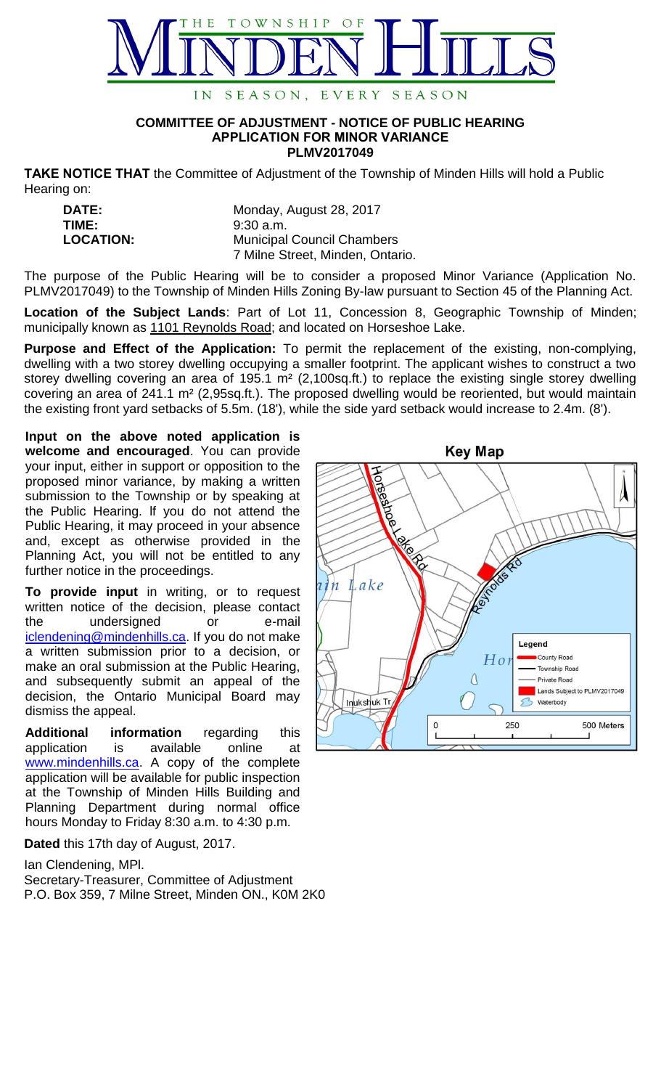

## **COMMITTEE OF ADJUSTMENT - NOTICE OF PUBLIC HEARING APPLICATION FOR MINOR VARIANCE PLMV2017049**

**TAKE NOTICE THAT** the Committee of Adjustment of the Township of Minden Hills will hold a Public Hearing on:

| <b>DATE:</b>     | Monday, August 28, 2017           |
|------------------|-----------------------------------|
| TIME:            | $9:30$ a.m.                       |
| <b>LOCATION:</b> | <b>Municipal Council Chambers</b> |
|                  | 7 Milne Street, Minden, Ontario.  |

The purpose of the Public Hearing will be to consider a proposed Minor Variance (Application No. PLMV2017049) to the Township of Minden Hills Zoning By-law pursuant to Section 45 of the Planning Act.

**Location of the Subject Lands**: Part of Lot 11, Concession 8, Geographic Township of Minden; municipally known as 1101 Reynolds Road; and located on Horseshoe Lake.

**Purpose and Effect of the Application:** To permit the replacement of the existing, non-complying, dwelling with a two storey dwelling occupying a smaller footprint. The applicant wishes to construct a two storey dwelling covering an area of 195.1 m<sup>2</sup> (2,100sq.ft.) to replace the existing single storey dwelling covering an area of 241.1 m² (2,95sq.ft.). The proposed dwelling would be reoriented, but would maintain the existing front yard setbacks of 5.5m. (18'), while the side yard setback would increase to 2.4m. (8').

**Input on the above noted application is welcome and encouraged**. You can provide your input, either in support or opposition to the proposed minor variance, by making a written submission to the Township or by speaking at the Public Hearing. lf you do not attend the Public Hearing, it may proceed in your absence and, except as otherwise provided in the Planning Act, you will not be entitled to any further notice in the proceedings.

**To provide input** in writing, or to request written notice of the decision, please contact the undersigned or e-mail [iclendening@mindenhills.ca.](mailto:iclendening@mindenhills.ca) If you do not make a written submission prior to a decision, or make an oral submission at the Public Hearing, and subsequently submit an appeal of the decision, the Ontario Municipal Board may dismiss the appeal.

**Additional information** regarding this application is available online at [www.mindenhills.ca.](http://www.mindenhills.ca/) A copy of the complete application will be available for public inspection at the Township of Minden Hills Building and Planning Department during normal office hours Monday to Friday 8:30 a.m. to 4:30 p.m.

**Dated** this 17th day of August, 2017.

Ian Clendening, MPl.

Secretary-Treasurer, Committee of Adjustment P.O. Box 359, 7 Milne Street, Minden ON., K0M 2K0

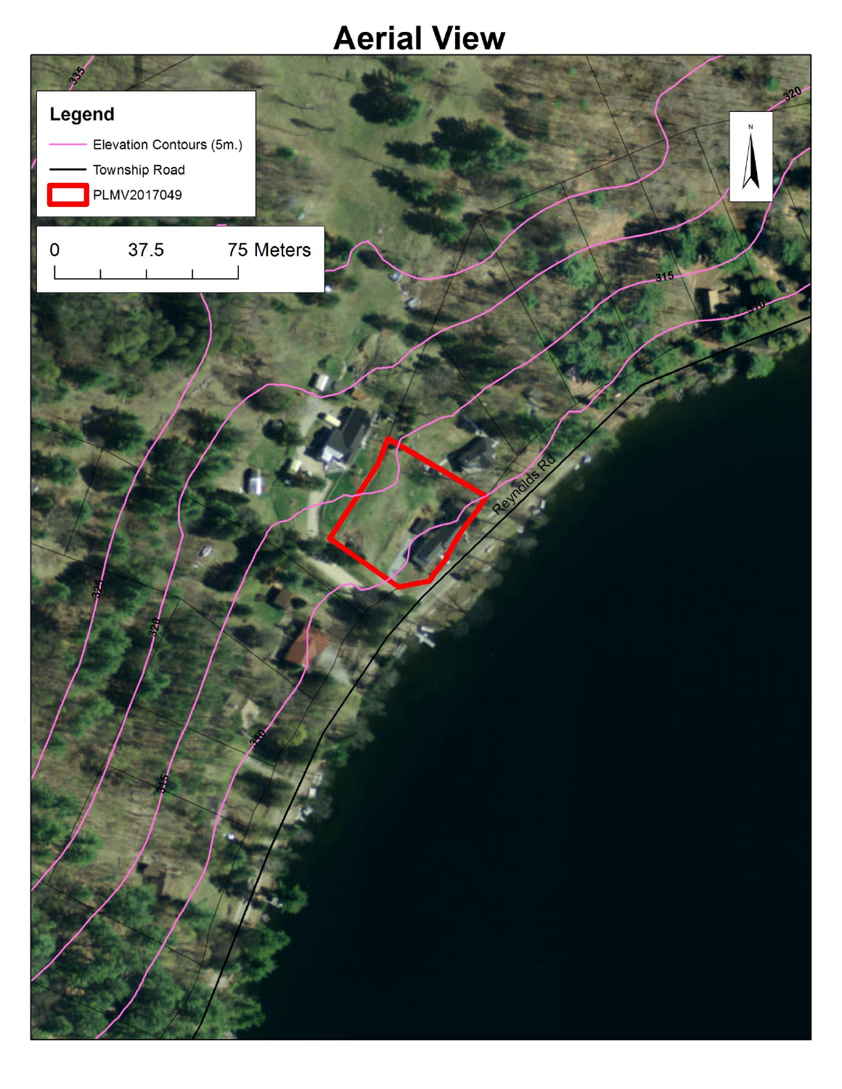## **Aerial View**

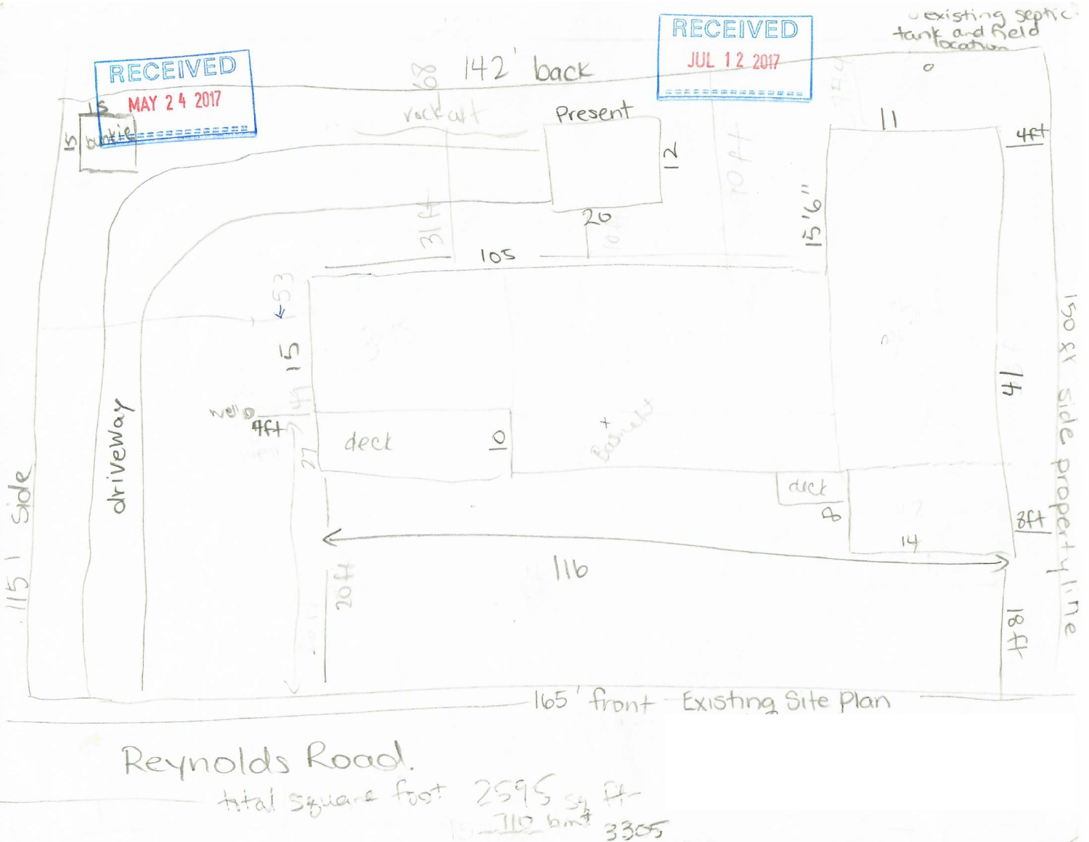